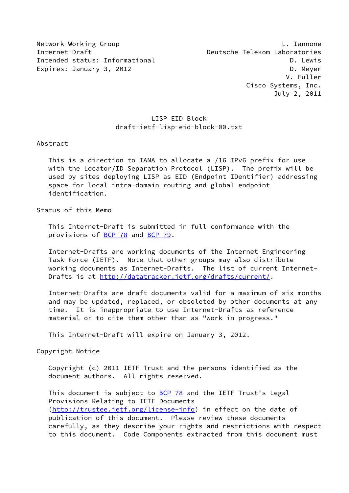Network Working Group **L. Iannone** Internet-Draft Deutsche Telekom Laboratories Intended status: Informational development of the D. Lewis Expires: January 3, 2012 **D. Market Expires: D. Meyer** 

## LISP EID Block draft-ietf-lisp-eid-block-00.txt

#### Abstract

 This is a direction to IANA to allocate a /16 IPv6 prefix for use with the Locator/ID Separation Protocol (LISP). The prefix will be used by sites deploying LISP as EID (Endpoint IDentifier) addressing space for local intra-domain routing and global endpoint identification.

#### Status of this Memo

 This Internet-Draft is submitted in full conformance with the provisions of **BCP 78** and **BCP 79**.

 Internet-Drafts are working documents of the Internet Engineering Task Force (IETF). Note that other groups may also distribute working documents as Internet-Drafts. The list of current Internet Drafts is at<http://datatracker.ietf.org/drafts/current/>.

 Internet-Drafts are draft documents valid for a maximum of six months and may be updated, replaced, or obsoleted by other documents at any time. It is inappropriate to use Internet-Drafts as reference material or to cite them other than as "work in progress."

This Internet-Draft will expire on January 3, 2012.

Copyright Notice

 Copyright (c) 2011 IETF Trust and the persons identified as the document authors. All rights reserved.

This document is subject to **[BCP 78](https://datatracker.ietf.org/doc/pdf/bcp78)** and the IETF Trust's Legal Provisions Relating to IETF Documents [\(http://trustee.ietf.org/license-info](http://trustee.ietf.org/license-info)) in effect on the date of publication of this document. Please review these documents carefully, as they describe your rights and restrictions with respect to this document. Code Components extracted from this document must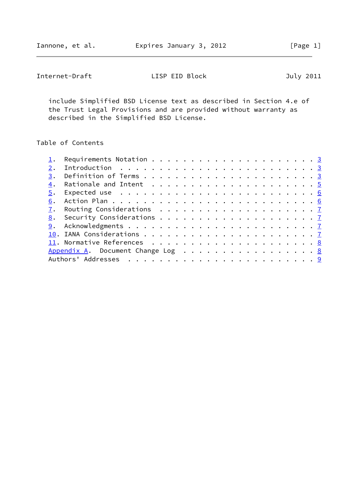Internet-Draft LISP EID Block July 2011

 include Simplified BSD License text as described in Section 4.e of the Trust Legal Provisions and are provided without warranty as described in the Simplified BSD License.

Table of Contents

| 4. |                                                                                                                                                  |
|----|--------------------------------------------------------------------------------------------------------------------------------------------------|
|    |                                                                                                                                                  |
| 6. |                                                                                                                                                  |
|    |                                                                                                                                                  |
|    |                                                                                                                                                  |
|    |                                                                                                                                                  |
|    |                                                                                                                                                  |
|    |                                                                                                                                                  |
|    |                                                                                                                                                  |
|    |                                                                                                                                                  |
|    | $\underline{5}$ . Expected use $\dots \dots \dots \dots \dots \dots \dots \dots \dots \dots \dots$<br>Appendix A. Document Change Log $\ldots$ 8 |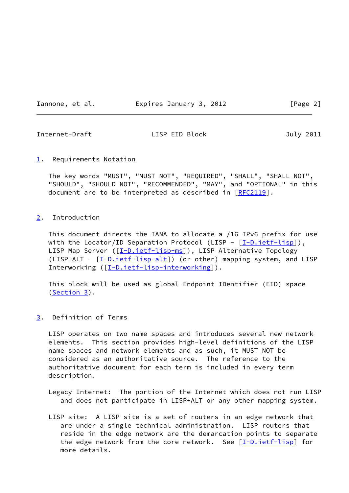Iannone, et al. **Expires January 3, 2012** [Page 2]

<span id="page-2-1"></span>Internet-Draft LISP EID Block July 2011

<span id="page-2-0"></span>[1](#page-2-0). Requirements Notation

 The key words "MUST", "MUST NOT", "REQUIRED", "SHALL", "SHALL NOT", "SHOULD", "SHOULD NOT", "RECOMMENDED", "MAY", and "OPTIONAL" in this document are to be interpreted as described in [\[RFC2119](https://datatracker.ietf.org/doc/pdf/rfc2119)].

<span id="page-2-2"></span>[2](#page-2-2). Introduction

 This document directs the IANA to allocate a /16 IPv6 prefix for use with the Locator/ID Separation Protocol (LISP -  $[I-D.ietf-lisp]$  $[I-D.ietf-lisp]$ ), LISP Map Server ([\[I-D.ietf-lisp-ms](#page-8-2)]), LISP Alternative Topology (LISP+ALT - [\[I-D.ietf-lisp-alt](#page-8-3)]) (or other) mapping system, and LISP Interworking ([[I-D.ietf-lisp-interworking\]](#page-8-4)).

 This block will be used as global Endpoint IDentifier (EID) space [\(Section 3](#page-2-3)).

<span id="page-2-3"></span>[3](#page-2-3). Definition of Terms

 LISP operates on two name spaces and introduces several new network elements. This section provides high-level definitions of the LISP name spaces and network elements and as such, it MUST NOT be considered as an authoritative source. The reference to the authoritative document for each term is included in every term description.

- Legacy Internet: The portion of the Internet which does not run LISP and does not participate in LISP+ALT or any other mapping system.
- LISP site: A LISP site is a set of routers in an edge network that are under a single technical administration. LISP routers that reside in the edge network are the demarcation points to separate the edge network from the core network. See  $[I-D.iett-lig]$  for more details.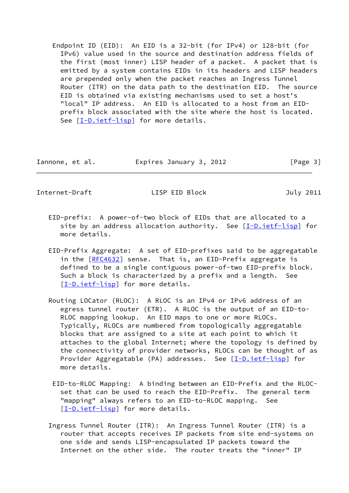Endpoint ID (EID): An EID is a 32-bit (for IPv4) or 128-bit (for IPv6) value used in the source and destination address fields of the first (most inner) LISP header of a packet. A packet that is emitted by a system contains EIDs in its headers and LISP headers are prepended only when the packet reaches an Ingress Tunnel Router (ITR) on the data path to the destination EID. The source EID is obtained via existing mechanisms used to set a host's "local" IP address. An EID is allocated to a host from an EID prefix block associated with the site where the host is located. See [\[I-D.ietf-lisp](#page-8-1)] for more details.

| Iannone, et al. | Expires January 3, 2012 | [Page 3] |
|-----------------|-------------------------|----------|
|-----------------|-------------------------|----------|

Internet-Draft LISP EID Block July 2011

- EID-prefix: A power-of-two block of EIDs that are allocated to a site by an address allocation authority. See  $[I-D.ietf-lisp]$  for more details.
- EID-Prefix Aggregate: A set of EID-prefixes said to be aggregatable in the [[RFC4632](https://datatracker.ietf.org/doc/pdf/rfc4632)] sense. That is, an EID-Prefix aggregate is defined to be a single contiguous power-of-two EID-prefix block. Such a block is characterized by a prefix and a length. See [[I-D.ietf-lisp\]](#page-8-1) for more details.
- Routing LOCator (RLOC): A RLOC is an IPv4 or IPv6 address of an egress tunnel router (ETR). A RLOC is the output of an EID-to- RLOC mapping lookup. An EID maps to one or more RLOCs. Typically, RLOCs are numbered from topologically aggregatable blocks that are assigned to a site at each point to which it attaches to the global Internet; where the topology is defined by the connectivity of provider networks, RLOCs can be thought of as Provider Aggregatable (PA) addresses. See [[I-D.ietf-lisp\]](#page-8-1) for more details.
	- EID-to-RLOC Mapping: A binding between an EID-Prefix and the RLOC set that can be used to reach the EID-Prefix. The general term "mapping" always refers to an EID-to-RLOC mapping. See [[I-D.ietf-lisp\]](#page-8-1) for more details.
- Ingress Tunnel Router (ITR): An Ingress Tunnel Router (ITR) is a router that accepts receives IP packets from site end-systems on one side and sends LISP-encapsulated IP packets toward the Internet on the other side. The router treats the "inner" IP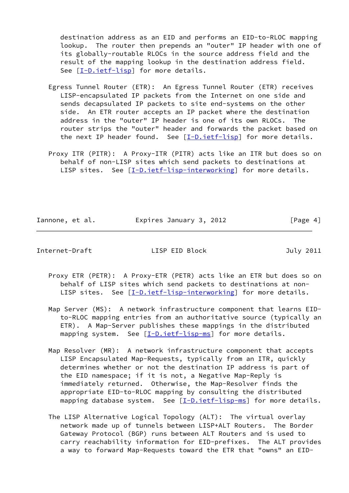destination address as an EID and performs an EID-to-RLOC mapping lookup. The router then prepends an "outer" IP header with one of its globally-routable RLOCs in the source address field and the result of the mapping lookup in the destination address field. See [\[I-D.ietf-lisp](#page-8-1)] for more details.

- Egress Tunnel Router (ETR): An Egress Tunnel Router (ETR) receives LISP-encapsulated IP packets from the Internet on one side and sends decapsulated IP packets to site end-systems on the other side. An ETR router accepts an IP packet where the destination address in the "outer" IP header is one of its own RLOCs. The router strips the "outer" header and forwards the packet based on the next IP header found. See  $[I-D.iett-lig]$  for more details.
- Proxy ITR (PITR): A Proxy-ITR (PITR) acts like an ITR but does so on behalf of non-LISP sites which send packets to destinations at LISP sites. See [\[I-D.ietf-lisp-interworking\]](#page-8-4) for more details.

Iannone, et al. **Expires January 3, 2012** [Page 4]

<span id="page-4-0"></span>Internet-Draft LISP EID Block July 2011

- Proxy ETR (PETR): A Proxy-ETR (PETR) acts like an ETR but does so on behalf of LISP sites which send packets to destinations at non- LISP sites. See [\[I-D.ietf-lisp-interworking\]](#page-8-4) for more details.
- Map Server (MS): A network infrastructure component that learns EID to-RLOC mapping entries from an authoritative source (typically an ETR). A Map-Server publishes these mappings in the distributed mapping system. See  $[I-D.iett-lsp-ms]$  for more details.
- Map Resolver (MR): A network infrastructure component that accepts LISP Encapsulated Map-Requests, typically from an ITR, quickly determines whether or not the destination IP address is part of the EID namespace; if it is not, a Negative Map-Reply is immediately returned. Otherwise, the Map-Resolver finds the appropriate EID-to-RLOC mapping by consulting the distributed mapping database system. See [\[I-D.ietf-lisp-ms](#page-8-2)] for more details.
- The LISP Alternative Logical Topology (ALT): The virtual overlay network made up of tunnels between LISP+ALT Routers. The Border Gateway Protocol (BGP) runs between ALT Routers and is used to carry reachability information for EID-prefixes. The ALT provides a way to forward Map-Requests toward the ETR that "owns" an EID-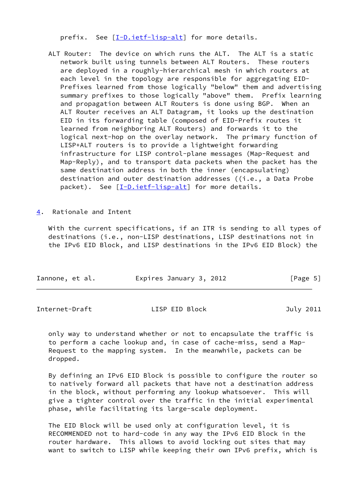prefix. See [\[I-D.ietf-lisp-alt](#page-8-3)] for more details.

- ALT Router: The device on which runs the ALT. The ALT is a static network built using tunnels between ALT Routers. These routers are deployed in a roughly-hierarchical mesh in which routers at each level in the topology are responsible for aggregating EID- Prefixes learned from those logically "below" them and advertising summary prefixes to those logically "above" them. Prefix learning and propagation between ALT Routers is done using BGP. When an ALT Router receives an ALT Datagram, it looks up the destination EID in its forwarding table (composed of EID-Prefix routes it learned from neighboring ALT Routers) and forwards it to the logical next-hop on the overlay network. The primary function of LISP+ALT routers is to provide a lightweight forwarding infrastructure for LISP control-plane messages (Map-Request and Map-Reply), and to transport data packets when the packet has the same destination address in both the inner (encapsulating) destination and outer destination addresses ((i.e., a Data Probe packet). See [\[I-D.ietf-lisp-alt\]](#page-8-3) for more details.
- <span id="page-5-0"></span>[4](#page-5-0). Rationale and Intent

 With the current specifications, if an ITR is sending to all types of destinations (i.e., non-LISP destinations, LISP destinations not in the IPv6 EID Block, and LISP destinations in the IPv6 EID Block) the

| Iannone, et al. | Expires January 3, 2012 | [Page 5] |
|-----------------|-------------------------|----------|
|-----------------|-------------------------|----------|

<span id="page-5-1"></span>Internet-Draft LISP EID Block July 2011

 only way to understand whether or not to encapsulate the traffic is to perform a cache lookup and, in case of cache-miss, send a Map- Request to the mapping system. In the meanwhile, packets can be dropped.

 By defining an IPv6 EID Block is possible to configure the router so to natively forward all packets that have not a destination address in the block, without performing any lookup whatsoever. This will give a tighter control over the traffic in the initial experimental phase, while facilitating its large-scale deployment.

 The EID Block will be used only at configuration level, it is RECOMMENDED not to hard-code in any way the IPv6 EID Block in the router hardware. This allows to avoid locking out sites that may want to switch to LISP while keeping their own IPv6 prefix, which is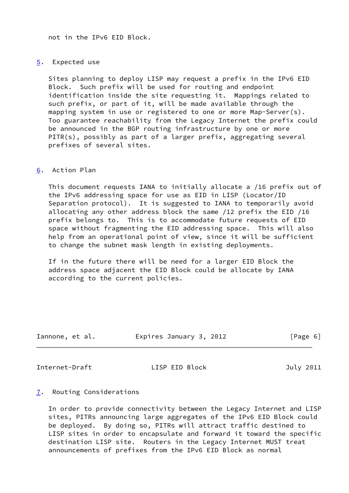not in the IPv6 EID Block.

### <span id="page-6-0"></span>[5](#page-6-0). Expected use

 Sites planning to deploy LISP may request a prefix in the IPv6 EID Block. Such prefix will be used for routing and endpoint identification inside the site requesting it. Mappings related to such prefix, or part of it, will be made available through the mapping system in use or registered to one or more Map-Server(s). Too guarantee reachability from the Legacy Internet the prefix could be announced in the BGP routing infrastructure by one or more PITR(s), possibly as part of a larger prefix, aggregating several prefixes of several sites.

### <span id="page-6-1"></span>[6](#page-6-1). Action Plan

 This document requests IANA to initially allocate a /16 prefix out of the IPv6 addressing space for use as EID in LISP (Locator/ID Separation protocol). It is suggested to IANA to temporarily avoid allocating any other address block the same /12 prefix the EID /16 prefix belongs to. This is to accommodate future requests of EID space without fragmenting the EID addressing space. This will also help from an operational point of view, since it will be sufficient to change the subnet mask length in existing deployments.

 If in the future there will be need for a larger EID Block the address space adjacent the EID Block could be allocate by IANA according to the current policies.

| Expires January 3, 2012 | [Page 6] |
|-------------------------|----------|
|                         |          |

<span id="page-6-3"></span>Internet-Draft LISP EID Block July 2011

### <span id="page-6-2"></span>[7](#page-6-2). Routing Considerations

 In order to provide connectivity between the Legacy Internet and LISP sites, PITRs announcing large aggregates of the IPv6 EID Block could be deployed. By doing so, PITRs will attract traffic destined to LISP sites in order to encapsulate and forward it toward the specific destination LISP site. Routers in the Legacy Internet MUST treat announcements of prefixes from the IPv6 EID Block as normal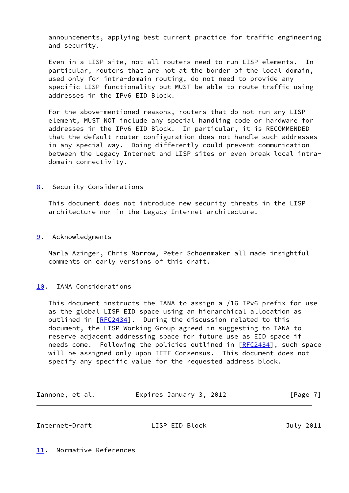announcements, applying best current practice for traffic engineering and security.

 Even in a LISP site, not all routers need to run LISP elements. In particular, routers that are not at the border of the local domain, used only for intra-domain routing, do not need to provide any specific LISP functionality but MUST be able to route traffic using addresses in the IPv6 EID Block.

 For the above-mentioned reasons, routers that do not run any LISP element, MUST NOT include any special handling code or hardware for addresses in the IPv6 EID Block. In particular, it is RECOMMENDED that the default router configuration does not handle such addresses in any special way. Doing differently could prevent communication between the Legacy Internet and LISP sites or even break local intra domain connectivity.

<span id="page-7-0"></span>[8](#page-7-0). Security Considerations

 This document does not introduce new security threats in the LISP architecture nor in the Legacy Internet architecture.

<span id="page-7-1"></span>[9](#page-7-1). Acknowledgments

 Marla Azinger, Chris Morrow, Peter Schoenmaker all made insightful comments on early versions of this draft.

## <span id="page-7-2"></span>[10.](#page-7-2) IANA Considerations

 This document instructs the IANA to assign a /16 IPv6 prefix for use as the global LISP EID space using an hierarchical allocation as outlined in [\[RFC2434](https://datatracker.ietf.org/doc/pdf/rfc2434)]. During the discussion related to this document, the LISP Working Group agreed in suggesting to IANA to reserve adjacent addressing space for future use as EID space if needs come. Following the policies outlined in [\[RFC2434](https://datatracker.ietf.org/doc/pdf/rfc2434)], such space will be assigned only upon IETF Consensus. This document does not specify any specific value for the requested address block.

| Iannone, et al. | Expires January 3, 2012 | [Page 7] |
|-----------------|-------------------------|----------|
|-----------------|-------------------------|----------|

<span id="page-7-4"></span><span id="page-7-3"></span>

| Internet-Draft<br>LISP EID Block |  |  | July 2011 |
|----------------------------------|--|--|-----------|
|----------------------------------|--|--|-----------|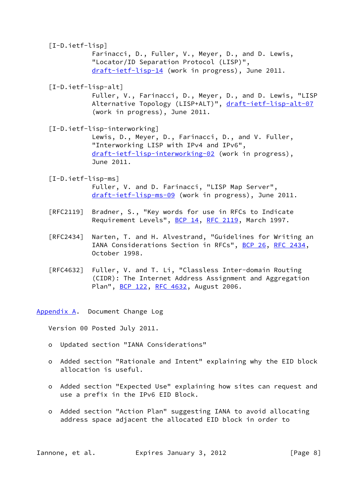# <span id="page-8-1"></span>[I-D.ietf-lisp]

 Farinacci, D., Fuller, V., Meyer, D., and D. Lewis, "Locator/ID Separation Protocol (LISP)", [draft-ietf-lisp-14](https://datatracker.ietf.org/doc/pdf/draft-ietf-lisp-14) (work in progress), June 2011.

<span id="page-8-3"></span>[I-D.ietf-lisp-alt]

 Fuller, V., Farinacci, D., Meyer, D., and D. Lewis, "LISP Alternative Topology (LISP+ALT)", [draft-ietf-lisp-alt-07](https://datatracker.ietf.org/doc/pdf/draft-ietf-lisp-alt-07) (work in progress), June 2011.

<span id="page-8-4"></span>[I-D.ietf-lisp-interworking]

 Lewis, D., Meyer, D., Farinacci, D., and V. Fuller, "Interworking LISP with IPv4 and IPv6", [draft-ietf-lisp-interworking-02](https://datatracker.ietf.org/doc/pdf/draft-ietf-lisp-interworking-02) (work in progress), June 2011.

### <span id="page-8-2"></span>[I-D.ietf-lisp-ms]

 Fuller, V. and D. Farinacci, "LISP Map Server", [draft-ietf-lisp-ms-09](https://datatracker.ietf.org/doc/pdf/draft-ietf-lisp-ms-09) (work in progress), June 2011.

- [RFC2119] Bradner, S., "Key words for use in RFCs to Indicate Requirement Levels", [BCP 14](https://datatracker.ietf.org/doc/pdf/bcp14), [RFC 2119](https://datatracker.ietf.org/doc/pdf/rfc2119), March 1997.
- [RFC2434] Narten, T. and H. Alvestrand, "Guidelines for Writing an IANA Considerations Section in RFCs", [BCP 26](https://datatracker.ietf.org/doc/pdf/bcp26), [RFC 2434](https://datatracker.ietf.org/doc/pdf/rfc2434), October 1998.
- [RFC4632] Fuller, V. and T. Li, "Classless Inter-domain Routing (CIDR): The Internet Address Assignment and Aggregation Plan", [BCP 122](https://datatracker.ietf.org/doc/pdf/bcp122), [RFC 4632,](https://datatracker.ietf.org/doc/pdf/rfc4632) August 2006.

<span id="page-8-0"></span>[Appendix A.](#page-8-0) Document Change Log

Version 00 Posted July 2011.

- o Updated section "IANA Considerations"
- o Added section "Rationale and Intent" explaining why the EID block allocation is useful.
- o Added section "Expected Use" explaining how sites can request and use a prefix in the IPv6 EID Block.
- o Added section "Action Plan" suggesting IANA to avoid allocating address space adjacent the allocated EID block in order to